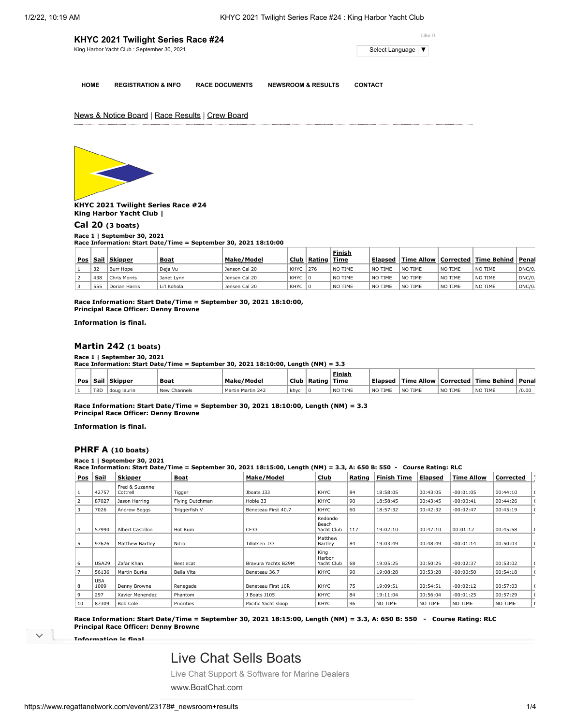| KHYC 2021 Twilight Series Race #24          | Like 0              |
|---------------------------------------------|---------------------|
| King Harbor Yacht Club : September 30, 2021 | Select Language   ▼ |
|                                             |                     |

**HOME REGISTRATION & INFO RACE DOCUMENTS NEWSROOM & RESULTS CONTACT**

**Finish**

News & Notice Board | Race Results | Crew Board



**KHYC 2021 Twilight Series Race #24 King Harbor Yacht Club |**

**[Cal 20](https://www.regattanetwork.com/clubmgmt/applet_race_scores_khyc.php?regatta_id=23178&race_num=1) (3 boats)**

#### **Race 1 | September 30, 2021**

**Race Information: Start Date/Time = September 30, 2021 18:10:00**

|     |      |               |             |               |             |        | Finish         |                   |         |         |                                      |        |
|-----|------|---------------|-------------|---------------|-------------|--------|----------------|-------------------|---------|---------|--------------------------------------|--------|
| Pos | Sail | Skipper       | <b>Boat</b> | Make/Model    | <b>Club</b> | Rating | <b>Time</b>    | Elapsed           |         |         | Time Allow   Corrected   Time Behind | Penal  |
|     | 32   | Burr Hope     | Deja Vu     | Jenson Cal 20 | KHYC        | 276    | <b>NO TIME</b> | <b>NO</b><br>TIME | NO TIME | NO TIME | NO TIME                              | DNC/0. |
|     | 438  | Chris Morris  | Janet Lynn  | Jensen Cal 20 | <b>KHYC</b> |        | <b>NO TIME</b> | ∣ NO<br>TIME      | NO TIME | NO TIME | NO TIME                              | DNC/0. |
|     | 555  | Dorian Harris | Li'l Kohola | Jensen Cal 20 | KHYC        |        | <b>NO TIME</b> | ੇ NO<br>TIME      | NO TIME | NO TIME | NO TIME                              | DNC/0. |

**Race Information: Start Date/Time = September 30, 2021 18:10:00, Principal Race Officer: Denny Browne**

**Information is final.**

#### **[Martin 242](https://www.regattanetwork.com/clubmgmt/applet_race_scores_khyc.php?regatta_id=23178&race_num=1) (1 boats)**

#### **Race 1 | September 30, 2021**

**Race Information: Start Date/Time = September 30, 2021 18:10:00, Length (NM) = 3.3**

|     |                               |              |                   |      |               | <b>Finish</b> |         |         |         |                                      |         |
|-----|-------------------------------|--------------|-------------------|------|---------------|---------------|---------|---------|---------|--------------------------------------|---------|
|     | <u>  Pos   Sail   Skipper</u> | <b>Boat</b>  | Make/Model        |      | Club   Rating | ' Time        | Elapsed |         |         | Time Allow   Corrected   Time Behind | l Penal |
| TBD | doug laurin                   | New Channels | Martin Martin 242 | khyc |               | NO TIME       | NO TIME | NO TIME | NO TIME | NO TIME                              | /0.00   |

**Race Information: Start Date/Time = September 30, 2021 18:10:00, Length (NM) = 3.3 Principal Race Officer: Denny Browne**

**Information is final.**

#### **[PHRF A](https://www.regattanetwork.com/clubmgmt/applet_race_scores_khyc.php?regatta_id=23178&race_num=1) (10 boats)**

#### **Race 1 | September 30, 2021**

**Race Information: Start Date/Time = September 30, 2021 18:15:00, Length (NM) = 3.3, A: 650 B: 550 - Course Rating: RLC**

| <b>Pos</b> | Sail               | <b>Skipper</b>             | <b>Boat</b>     | Make/Model          | Club                           | Rating | <b>Finish Time</b> | Elapsed  | <b>Time Allow</b> | Corrected |  |
|------------|--------------------|----------------------------|-----------------|---------------------|--------------------------------|--------|--------------------|----------|-------------------|-----------|--|
|            | 42757              | Fred & Suzanne<br>Cottrell | Tigger          | Jboats J33          | <b>KHYC</b>                    | 84     | 18:58:05           | 00:43:05 | $-00:01:05$       | 00:44:10  |  |
| 2          | 87027              | Jason Herring              | Flying Dutchman | Hobie 33            | <b>KHYC</b>                    | 90     | 18:58:45           | 00:43:45 | $-00:00:41$       | 00:44:26  |  |
|            | 7026               | Andrew Beggs               | Triggerfish V   | Beneteau First 40.7 | <b>KHYC</b>                    | 60     | 18:57:32           | 00:42:32 | $-00:02:47$       | 00:45:19  |  |
| 4          | 57990              | Albert Castillon           | Hot Rum         | CF33                | Redondo<br>Beach<br>Yacht Club | 117    | 19:02:10           | 00:47:10 | 00:01:12          | 00:45:58  |  |
| 5          | 97626              | <b>Matthew Bartley</b>     | Nitro           | Tillotsen J33       | Matthew<br>Bartley             | 84     | 19:03:49           | 00:48:49 | $-00:01:14$       | 00:50:03  |  |
| 6          | <b>USA29</b>       | Zafar Khan                 | Beetlecat       | Bravura Yachts B29M | King<br>Harbor<br>Yacht Club   | 68     | 19:05:25           | 00:50:25 | $-00:02:37$       | 00:53:02  |  |
|            | 56136              | Martin Burke               | Bella Vita      | Beneteau 36.7       | <b>KHYC</b>                    | 90     | 19:08:28           | 00:53:28 | $-00:00:50$       | 00:54:18  |  |
| 8          | <b>USA</b><br>1009 | Denny Browne               | Renegade        | Beneteau First 10R  | <b>KHYC</b>                    | 75     | 19:09:51           | 00:54:51 | $-00:02:12$       | 00:57:03  |  |
| 9          | 297                | Xavier Menendez            | Phantom         | J Boats J105        | <b>KHYC</b>                    | 84     | 19:11:04           | 00:56:04 | $-00:01:25$       | 00:57:29  |  |
| 10         | 87309              | <b>Bob Cole</b>            | Priorities      | Pacific Yacht sloop | <b>KHYC</b>                    | 96     | NO TIME            | NO TIME  | NO TIME           | NO TIME   |  |

**Race Information: Start Date/Time = September 30, 2021 18:15:00, Length (NM) = 3.3, A: 650 B: 550 - Course Rating: RLC Principal Race Officer: Denny Browne**

**Information is final.**

### [Live Chat Sells Boats](https://www.googleadservices.com/pagead/aclk?sa=L&ai=CS_zYoezRYc-cNsGzngX65KugCYeJsqhdoI3EqN8LiIGUmEMQASDgnvADYMmmgIfIo5AZoAHakq3tA8gBCagDAcgDywSqBOkBT9DCVBc1K9JAtK1pw1SoxYMVltv2OBSbXcmDK3Dt-3XcUhkd1dekD4YZbfujml7qmt4-Cl0k1ldD72Ay3il_4nqDJRfnRR7_HVFugXBi4g4Hya_3lGe7HGDyEi5dIbYbKWvDNBU3JGMXDLuyYkY568YvAi1KJVBhqz2YkpBVQt0mdXsYKPS0xpVw1cUkkiQcFNldyLZPdOzj3xPRBn8_TvoRcfQjvwNvjdKvpCoKSFehAFZJeYWHDKf6QpWY8eEv5nfT1HaxjA7rt5OfOgPP04Ka98h9PZLgDmH7dIaD3NMWe7AgN9OidoDABJHihLiVAaAGLoAHju3SEqgHjs4bqAeT2BuoB-6WsQKoB_6esQKoB9XJG6gHpr4bqAfz0RuoB5bYG6gHqpuxAqgH35-xAtgHANIIBwiAYRABGB-xCZvSITV_fp96gAoBmAsByAsBgAwBuAwBuBOIJ9gTDIgUCNAVAZgWAYAXAQ&ae=1&num=1&cid=CAASEuRo7tO0UzEfoLaqSgRq0MgZuw&sig=AOD64_1kD_hodkvaL9gr3VUQsfpTEbtr8A&client=ca-pub-3849336900697587&nb=0&adurl=https://www.boatchat.com/%3Fcampaignid%3D737782491%26adgroupid%3D40114401553%26adid%3D429894878598%26gclid%3DEAIaIQobChMIj_Hkh9eT9QIVwZmnCh168gqUEAEYASAAEgLmcfD_BwE)

[Live Chat Support & Software for Marine Dealers](https://www.googleadservices.com/pagead/aclk?sa=L&ai=CS_zYoezRYc-cNsGzngX65KugCYeJsqhdoI3EqN8LiIGUmEMQASDgnvADYMmmgIfIo5AZoAHakq3tA8gBCagDAcgDywSqBOkBT9DCVBc1K9JAtK1pw1SoxYMVltv2OBSbXcmDK3Dt-3XcUhkd1dekD4YZbfujml7qmt4-Cl0k1ldD72Ay3il_4nqDJRfnRR7_HVFugXBi4g4Hya_3lGe7HGDyEi5dIbYbKWvDNBU3JGMXDLuyYkY568YvAi1KJVBhqz2YkpBVQt0mdXsYKPS0xpVw1cUkkiQcFNldyLZPdOzj3xPRBn8_TvoRcfQjvwNvjdKvpCoKSFehAFZJeYWHDKf6QpWY8eEv5nfT1HaxjA7rt5OfOgPP04Ka98h9PZLgDmH7dIaD3NMWe7AgN9OidoDABJHihLiVAaAGLoAHju3SEqgHjs4bqAeT2BuoB-6WsQKoB_6esQKoB9XJG6gHpr4bqAfz0RuoB5bYG6gHqpuxAqgH35-xAtgHANIIBwiAYRABGB-xCZvSITV_fp96gAoBmAsByAsBgAwBuAwBuBOIJ9gTDIgUCNAVAZgWAYAXAQ&ae=1&num=1&cid=CAASEuRo7tO0UzEfoLaqSgRq0MgZuw&sig=AOD64_1kD_hodkvaL9gr3VUQsfpTEbtr8A&client=ca-pub-3849336900697587&nb=7&adurl=https://www.boatchat.com/%3Fcampaignid%3D737782491%26adgroupid%3D40114401553%26adid%3D429894878598%26gclid%3DEAIaIQobChMIj_Hkh9eT9QIVwZmnCh168gqUEAEYASAAEgLmcfD_BwE)

**Race Information: Start Date/Time = September 30, 2021 18:10:00, Length (NM) = 3.3, A: 650 B: 550 - Course Rating: RLC POSSETTER BOATLACHER ARTISTS** [www.BoatChat.com](https://www.googleadservices.com/pagead/aclk?sa=L&ai=CS_zYoezRYc-cNsGzngX65KugCYeJsqhdoI3EqN8LiIGUmEMQASDgnvADYMmmgIfIo5AZoAHakq3tA8gBCagDAcgDywSqBOkBT9DCVBc1K9JAtK1pw1SoxYMVltv2OBSbXcmDK3Dt-3XcUhkd1dekD4YZbfujml7qmt4-Cl0k1ldD72Ay3il_4nqDJRfnRR7_HVFugXBi4g4Hya_3lGe7HGDyEi5dIbYbKWvDNBU3JGMXDLuyYkY568YvAi1KJVBhqz2YkpBVQt0mdXsYKPS0xpVw1cUkkiQcFNldyLZPdOzj3xPRBn8_TvoRcfQjvwNvjdKvpCoKSFehAFZJeYWHDKf6QpWY8eEv5nfT1HaxjA7rt5OfOgPP04Ka98h9PZLgDmH7dIaD3NMWe7AgN9OidoDABJHihLiVAaAGLoAHju3SEqgHjs4bqAeT2BuoB-6WsQKoB_6esQKoB9XJG6gHpr4bqAfz0RuoB5bYG6gHqpuxAqgH35-xAtgHANIIBwiAYRABGB-xCZvSITV_fp96gAoBmAsByAsBgAwBuAwBuBOIJ9gTDIgUCNAVAZgWAYAXAQ&ae=1&num=1&cid=CAASEuRo7tO0UzEfoLaqSgRq0MgZuw&sig=AOD64_1kD_hodkvaL9gr3VUQsfpTEbtr8A&client=ca-pub-3849336900697587&nb=1&adurl=https://www.boatchat.com/%3Fcampaignid%3D737782491%26adgroupid%3D40114401553%26adid%3D429894878598%26gclid%3DEAIaIQobChMIj_Hkh9eT9QIVwZmnCh168gqUEAEYASAAEgLmcfD_BwE)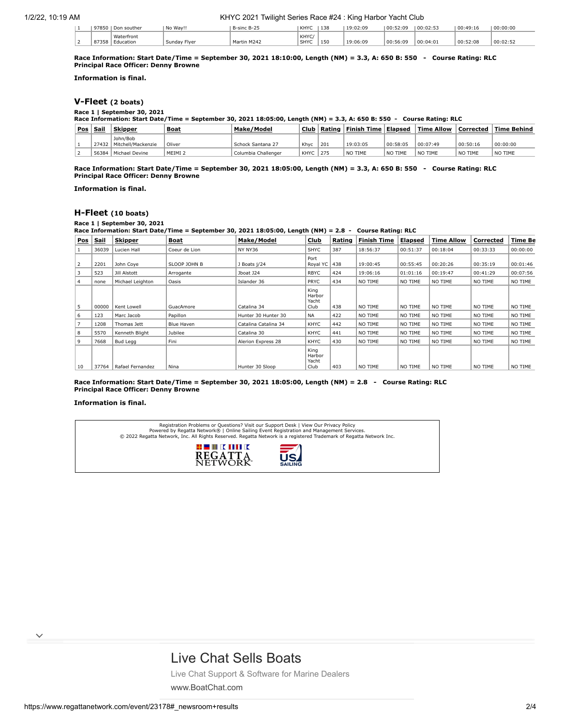1/2/22, 10:19 AM KHYC 2021 Twilight Series Race #24 : King Harbor Yacht Club

|  | 97850 | Don souther             | No Wav!!     | $-B-25$<br>R-cinc R-                          | KHYC          | 138<br>⊥⊃∪      | 19:02:09 | 00:52:09 | 00:02:53 | 00:49:16 | 00:00:00 |
|--|-------|-------------------------|--------------|-----------------------------------------------|---------------|-----------------|----------|----------|----------|----------|----------|
|  | 87358 | Waterfront<br>Education | Sunday Flyer | $M \sim r+$<br>, M <sub>24</sub> <sup>*</sup> | KHYC.<br>SHYC | 1E <sub>0</sub> | 19:06:09 | 00:56:09 | 00:04:01 | 00:52:08 | ∴ירחים ` |

**Race Information: Start Date/Time = September 30, 2021 18:10:00, Length (NM) = 3.3, A: 650 B: 550 - Course Rating: RLC Principal Race Officer: Denny Browne**

**Information is final.**

### **[V-Fleet](https://www.regattanetwork.com/clubmgmt/applet_race_scores_khyc.php?regatta_id=23178&race_num=1) (2 boats)**

**Race 1 | September 30, 2021**

|          | Race Information: Start Date/Time = September 30, 2021 18:05:00, Length (NM) = 3.3, A: 650 B: 550 - Course Rating: RLC |                                        |                    |                     |      |        |             |          |                   |             |              |
|----------|------------------------------------------------------------------------------------------------------------------------|----------------------------------------|--------------------|---------------------|------|--------|-------------|----------|-------------------|-------------|--------------|
| Pos Sail |                                                                                                                        | <b>Skipper</b>                         | <b>Boat</b>        | Make/Model          | Club | Rating | Finish Time | Elapsed  | <b>Time Allow</b> | l Corrected | ∣Time Behind |
|          |                                                                                                                        | John/Bob<br>27432   Mitchell/Mackenzie | Oliver             | Schock Santana 27   | Khyc | 201    | 19:03:05    | 00:58:05 | 00:07:49          | 00:50:16    | 00:00:00     |
|          |                                                                                                                        | 56384   Michael Devine                 | MEIMI <sub>2</sub> | Columbia Challenger | KHYC | 275    | NO TIME     | NO TIME  | NO TIME           | NO TIME     | NO TIME      |

**Race Information: Start Date/Time = September 30, 2021 18:05:00, Length (NM) = 3.3, A: 650 B: 550 - Course Rating: RLC Principal Race Officer: Denny Browne**

**Information is final.**

#### **[H-Fleet](https://www.regattanetwork.com/clubmgmt/applet_race_scores_khyc.php?regatta_id=23178&race_num=1) (10 boats)**

#### **Race 1 | September 30, 2021**

**Race Information: Start Date/Time = September 30, 2021 18:05:00, Length (NM) = 2.8 - Course Rating: RLC**

| <b>Pos</b>     | <u>Sail</u> | <b>Skipper</b>   | Boat          | Make/Model           | Club                            | Rating | Finish Time | <u>Elapsed</u> | <b>Time Allow</b> | Corrected | <b>Time Be</b> |
|----------------|-------------|------------------|---------------|----------------------|---------------------------------|--------|-------------|----------------|-------------------|-----------|----------------|
|                | 36039       | Lucien Hall      | Coeur de Lion | NY NY36              | <b>SHYC</b>                     | 387    | 18:56:37    | 00:51:37       | 00:18:04          | 00:33:33  | 00:00:00       |
| $\overline{2}$ | 2201        | John Cove        | SLOOP JOHN B  | J Boats j/24         | Port<br>Royal YC 438            |        | 19:00:45    | 00:55:45       | 00:20:26          | 00:35:19  | 00:01:46       |
| 3              | 523         | Jill Alstott     | Arrogante     | Jboat J24            | <b>RBYC</b>                     | 424    | 19:06:16    | 01:01:16       | 00:19:47          | 00:41:29  | 00:07:56       |
| 4              | none        | Michael Leighton | Oasis         | Islander 36          | PRYC                            | 434    | NO TIME     | NO TIME        | NO TIME           | NO TIME   | NO TIME        |
| -5             | 00000       | Kent Lowell      | GuacAmore     | Catalina 34          | King<br>Harbor<br>Yacht<br>Club | 438    | NO TIME     | NO TIME        | NO TIME           | NO TIME   | NO TIME        |
| 6              | 123         | Marc Jacob       | Papillon      | Hunter 30 Hunter 30  | <b>NA</b>                       | 422    | NO TIME     | NO TIME        | NO TIME           | NO TIME   | NO TIME        |
|                | 1208        | Thomas Jett      | Blue Haven    | Catalina Catalina 34 | KHYC                            | 442    | NO TIME     | NO TIME        | NO TIME           | NO TIME   | NO TIME        |
| 8              | 5570        | Kenneth Blight   | Jubilee       | Catalina 30          | KHYC                            | 441    | NO TIME     | NO TIME        | NO TIME           | NO TIME   | NO TIME        |
| 9              | 7668        | Bud Legg         | Fini          | Alerion Express 28   | KHYC                            | 430    | NO TIME     | NO TIME        | NO TIME           | NO TIME   | NO TIME        |
| 10             | 37764       | Rafael Fernandez | Nina          | Hunter 30 Sloop      | King<br>Harbor<br>Yacht<br>Club | 403    | NO TIME     | NO TIME        | NO TIME           | NO TIME   | NO TIME        |

**Race Information: Start Date/Time = September 30, 2021 18:05:00, Length (NM) = 2.8 - Course Rating: RLC Principal Race Officer: Denny Browne**

#### **Information is final.**

| Registration Problems or Questions? Visit our Support Desk   View Our Privacy Policy<br>Powered by Regatta Network®   Online Sailing Event Registration and Management Services.<br>© 2022 Regatta Network, Inc. All Rights Reserved. Regatta Network is a registered Trademark of Regatta Network Inc. |                                  |
|---------------------------------------------------------------------------------------------------------------------------------------------------------------------------------------------------------------------------------------------------------------------------------------------------------|----------------------------------|
| <b>HEMIKHIIK</b><br><b>REGATTA</b><br>NETWORK <sup>*</sup>                                                                                                                                                                                                                                              | $\overline{5}$<br><b>SAILING</b> |

### [Live Chat Sells Boats](https://www.googleadservices.com/pagead/aclk?sa=L&ai=CS_zYoezRYc-cNsGzngX65KugCYeJsqhdoI3EqN8LiIGUmEMQASDgnvADYMmmgIfIo5AZoAHakq3tA8gBCagDAcgDywSqBOkBT9DCVBc1K9JAtK1pw1SoxYMVltv2OBSbXcmDK3Dt-3XcUhkd1dekD4YZbfujml7qmt4-Cl0k1ldD72Ay3il_4nqDJRfnRR7_HVFugXBi4g4Hya_3lGe7HGDyEi5dIbYbKWvDNBU3JGMXDLuyYkY568YvAi1KJVBhqz2YkpBVQt0mdXsYKPS0xpVw1cUkkiQcFNldyLZPdOzj3xPRBn8_TvoRcfQjvwNvjdKvpCoKSFehAFZJeYWHDKf6QpWY8eEv5nfT1HaxjA7rt5OfOgPP04Ka98h9PZLgDmH7dIaD3NMWe7AgN9OidoDABJHihLiVAaAGLoAHju3SEqgHjs4bqAeT2BuoB-6WsQKoB_6esQKoB9XJG6gHpr4bqAfz0RuoB5bYG6gHqpuxAqgH35-xAtgHANIIBwiAYRABGB-xCZvSITV_fp96gAoBmAsByAsBgAwBuAwBuBOIJ9gTDIgUCNAVAZgWAYAXAQ&ae=1&num=1&cid=CAASEuRo7tO0UzEfoLaqSgRq0MgZuw&sig=AOD64_1kD_hodkvaL9gr3VUQsfpTEbtr8A&client=ca-pub-3849336900697587&nb=0&adurl=https://www.boatchat.com/%3Fcampaignid%3D737782491%26adgroupid%3D40114401553%26adid%3D429894878598%26gclid%3DEAIaIQobChMIj_Hkh9eT9QIVwZmnCh168gqUEAEYASAAEgLmcfD_BwE)

[Live Chat Support & Software for Marine Dealers](https://www.googleadservices.com/pagead/aclk?sa=L&ai=CS_zYoezRYc-cNsGzngX65KugCYeJsqhdoI3EqN8LiIGUmEMQASDgnvADYMmmgIfIo5AZoAHakq3tA8gBCagDAcgDywSqBOkBT9DCVBc1K9JAtK1pw1SoxYMVltv2OBSbXcmDK3Dt-3XcUhkd1dekD4YZbfujml7qmt4-Cl0k1ldD72Ay3il_4nqDJRfnRR7_HVFugXBi4g4Hya_3lGe7HGDyEi5dIbYbKWvDNBU3JGMXDLuyYkY568YvAi1KJVBhqz2YkpBVQt0mdXsYKPS0xpVw1cUkkiQcFNldyLZPdOzj3xPRBn8_TvoRcfQjvwNvjdKvpCoKSFehAFZJeYWHDKf6QpWY8eEv5nfT1HaxjA7rt5OfOgPP04Ka98h9PZLgDmH7dIaD3NMWe7AgN9OidoDABJHihLiVAaAGLoAHju3SEqgHjs4bqAeT2BuoB-6WsQKoB_6esQKoB9XJG6gHpr4bqAfz0RuoB5bYG6gHqpuxAqgH35-xAtgHANIIBwiAYRABGB-xCZvSITV_fp96gAoBmAsByAsBgAwBuAwBuBOIJ9gTDIgUCNAVAZgWAYAXAQ&ae=1&num=1&cid=CAASEuRo7tO0UzEfoLaqSgRq0MgZuw&sig=AOD64_1kD_hodkvaL9gr3VUQsfpTEbtr8A&client=ca-pub-3849336900697587&nb=7&adurl=https://www.boatchat.com/%3Fcampaignid%3D737782491%26adgroupid%3D40114401553%26adid%3D429894878598%26gclid%3DEAIaIQobChMIj_Hkh9eT9QIVwZmnCh168gqUEAEYASAAEgLmcfD_BwE) [www.BoatChat.com](https://www.googleadservices.com/pagead/aclk?sa=L&ai=CS_zYoezRYc-cNsGzngX65KugCYeJsqhdoI3EqN8LiIGUmEMQASDgnvADYMmmgIfIo5AZoAHakq3tA8gBCagDAcgDywSqBOkBT9DCVBc1K9JAtK1pw1SoxYMVltv2OBSbXcmDK3Dt-3XcUhkd1dekD4YZbfujml7qmt4-Cl0k1ldD72Ay3il_4nqDJRfnRR7_HVFugXBi4g4Hya_3lGe7HGDyEi5dIbYbKWvDNBU3JGMXDLuyYkY568YvAi1KJVBhqz2YkpBVQt0mdXsYKPS0xpVw1cUkkiQcFNldyLZPdOzj3xPRBn8_TvoRcfQjvwNvjdKvpCoKSFehAFZJeYWHDKf6QpWY8eEv5nfT1HaxjA7rt5OfOgPP04Ka98h9PZLgDmH7dIaD3NMWe7AgN9OidoDABJHihLiVAaAGLoAHju3SEqgHjs4bqAeT2BuoB-6WsQKoB_6esQKoB9XJG6gHpr4bqAfz0RuoB5bYG6gHqpuxAqgH35-xAtgHANIIBwiAYRABGB-xCZvSITV_fp96gAoBmAsByAsBgAwBuAwBuBOIJ9gTDIgUCNAVAZgWAYAXAQ&ae=1&num=1&cid=CAASEuRo7tO0UzEfoLaqSgRq0MgZuw&sig=AOD64_1kD_hodkvaL9gr3VUQsfpTEbtr8A&client=ca-pub-3849336900697587&nb=1&adurl=https://www.boatchat.com/%3Fcampaignid%3D737782491%26adgroupid%3D40114401553%26adid%3D429894878598%26gclid%3DEAIaIQobChMIj_Hkh9eT9QIVwZmnCh168gqUEAEYASAAEgLmcfD_BwE)

 $\checkmark$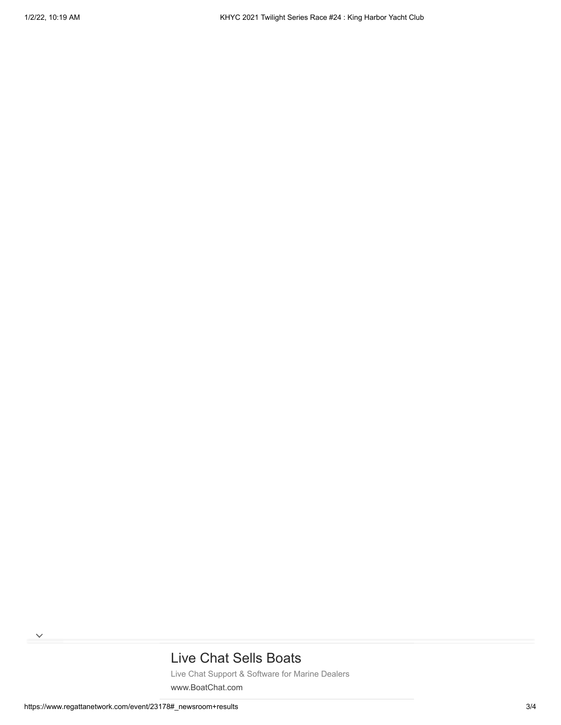# [Live Chat Sells Boats](https://www.googleadservices.com/pagead/aclk?sa=L&ai=CS_zYoezRYc-cNsGzngX65KugCYeJsqhdoI3EqN8LiIGUmEMQASDgnvADYMmmgIfIo5AZoAHakq3tA8gBCagDAcgDywSqBOkBT9DCVBc1K9JAtK1pw1SoxYMVltv2OBSbXcmDK3Dt-3XcUhkd1dekD4YZbfujml7qmt4-Cl0k1ldD72Ay3il_4nqDJRfnRR7_HVFugXBi4g4Hya_3lGe7HGDyEi5dIbYbKWvDNBU3JGMXDLuyYkY568YvAi1KJVBhqz2YkpBVQt0mdXsYKPS0xpVw1cUkkiQcFNldyLZPdOzj3xPRBn8_TvoRcfQjvwNvjdKvpCoKSFehAFZJeYWHDKf6QpWY8eEv5nfT1HaxjA7rt5OfOgPP04Ka98h9PZLgDmH7dIaD3NMWe7AgN9OidoDABJHihLiVAaAGLoAHju3SEqgHjs4bqAeT2BuoB-6WsQKoB_6esQKoB9XJG6gHpr4bqAfz0RuoB5bYG6gHqpuxAqgH35-xAtgHANIIBwiAYRABGB-xCZvSITV_fp96gAoBmAsByAsBgAwBuAwBuBOIJ9gTDIgUCNAVAZgWAYAXAQ&ae=1&num=1&cid=CAASEuRo7tO0UzEfoLaqSgRq0MgZuw&sig=AOD64_1kD_hodkvaL9gr3VUQsfpTEbtr8A&client=ca-pub-3849336900697587&nb=0&adurl=https://www.boatchat.com/%3Fcampaignid%3D737782491%26adgroupid%3D40114401553%26adid%3D429894878598%26gclid%3DEAIaIQobChMIj_Hkh9eT9QIVwZmnCh168gqUEAEYASAAEgLmcfD_BwE)

[Live Chat Support & Software for Marine Dealers](https://www.googleadservices.com/pagead/aclk?sa=L&ai=CS_zYoezRYc-cNsGzngX65KugCYeJsqhdoI3EqN8LiIGUmEMQASDgnvADYMmmgIfIo5AZoAHakq3tA8gBCagDAcgDywSqBOkBT9DCVBc1K9JAtK1pw1SoxYMVltv2OBSbXcmDK3Dt-3XcUhkd1dekD4YZbfujml7qmt4-Cl0k1ldD72Ay3il_4nqDJRfnRR7_HVFugXBi4g4Hya_3lGe7HGDyEi5dIbYbKWvDNBU3JGMXDLuyYkY568YvAi1KJVBhqz2YkpBVQt0mdXsYKPS0xpVw1cUkkiQcFNldyLZPdOzj3xPRBn8_TvoRcfQjvwNvjdKvpCoKSFehAFZJeYWHDKf6QpWY8eEv5nfT1HaxjA7rt5OfOgPP04Ka98h9PZLgDmH7dIaD3NMWe7AgN9OidoDABJHihLiVAaAGLoAHju3SEqgHjs4bqAeT2BuoB-6WsQKoB_6esQKoB9XJG6gHpr4bqAfz0RuoB5bYG6gHqpuxAqgH35-xAtgHANIIBwiAYRABGB-xCZvSITV_fp96gAoBmAsByAsBgAwBuAwBuBOIJ9gTDIgUCNAVAZgWAYAXAQ&ae=1&num=1&cid=CAASEuRo7tO0UzEfoLaqSgRq0MgZuw&sig=AOD64_1kD_hodkvaL9gr3VUQsfpTEbtr8A&client=ca-pub-3849336900697587&nb=7&adurl=https://www.boatchat.com/%3Fcampaignid%3D737782491%26adgroupid%3D40114401553%26adid%3D429894878598%26gclid%3DEAIaIQobChMIj_Hkh9eT9QIVwZmnCh168gqUEAEYASAAEgLmcfD_BwE) [www.BoatChat.com](https://www.googleadservices.com/pagead/aclk?sa=L&ai=CS_zYoezRYc-cNsGzngX65KugCYeJsqhdoI3EqN8LiIGUmEMQASDgnvADYMmmgIfIo5AZoAHakq3tA8gBCagDAcgDywSqBOkBT9DCVBc1K9JAtK1pw1SoxYMVltv2OBSbXcmDK3Dt-3XcUhkd1dekD4YZbfujml7qmt4-Cl0k1ldD72Ay3il_4nqDJRfnRR7_HVFugXBi4g4Hya_3lGe7HGDyEi5dIbYbKWvDNBU3JGMXDLuyYkY568YvAi1KJVBhqz2YkpBVQt0mdXsYKPS0xpVw1cUkkiQcFNldyLZPdOzj3xPRBn8_TvoRcfQjvwNvjdKvpCoKSFehAFZJeYWHDKf6QpWY8eEv5nfT1HaxjA7rt5OfOgPP04Ka98h9PZLgDmH7dIaD3NMWe7AgN9OidoDABJHihLiVAaAGLoAHju3SEqgHjs4bqAeT2BuoB-6WsQKoB_6esQKoB9XJG6gHpr4bqAfz0RuoB5bYG6gHqpuxAqgH35-xAtgHANIIBwiAYRABGB-xCZvSITV_fp96gAoBmAsByAsBgAwBuAwBuBOIJ9gTDIgUCNAVAZgWAYAXAQ&ae=1&num=1&cid=CAASEuRo7tO0UzEfoLaqSgRq0MgZuw&sig=AOD64_1kD_hodkvaL9gr3VUQsfpTEbtr8A&client=ca-pub-3849336900697587&nb=1&adurl=https://www.boatchat.com/%3Fcampaignid%3D737782491%26adgroupid%3D40114401553%26adid%3D429894878598%26gclid%3DEAIaIQobChMIj_Hkh9eT9QIVwZmnCh168gqUEAEYASAAEgLmcfD_BwE)

 $\checkmark$